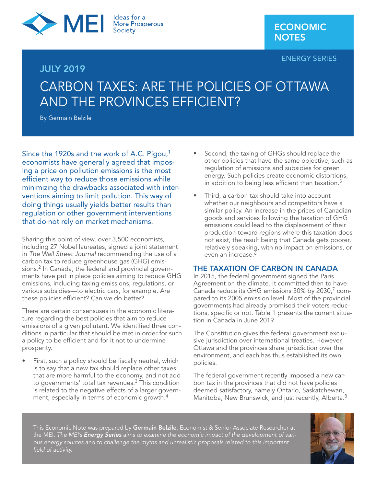

# JULY 2019

#### ENERGY SERIES

# CARBON TAXES: ARE THE POLICIES OF OTTAWA AND THE PROVINCES EFFICIENT?

By Germain Belzile

Since the 1920s and the work of A.C. Pigou,<sup>1</sup> economists have generally agreed that imposing a price on pollution emissions is the most efficient way to reduce those emissions while minimizing the drawbacks associated with interventions aiming to limit pollution. This way of doing things usually yields better results than regulation or other government interventions that do not rely on market mechanisms.

Sharing this point of view, over 3,500 economists, including 27 Nobel laureates, signed a joint statement in *The Wall Street Journal* recommending the use of a carbon tax to reduce greenhouse gas (GHG) emissions.2 In Canada, the federal and provincial governments have put in place policies aiming to reduce GHG emissions, including taxing emissions, regulations, or various subsidies—to electric cars, for example. Are these policies efficient? Can we do better?

There are certain consensuses in the economic literature regarding the best policies that aim to reduce emissions of a given pollutant. We identified three conditions in particular that should be met in order for such a policy to be efficient and for it not to undermine prosperity.

First, such a policy should be fiscally neutral, which is to say that a new tax should replace other taxes that are more harmful to the economy, and not add to governments' total tax revenues.<sup>3</sup> This condition is related to the negative effects of a larger government, especially in terms of economic growth.4

- Second, the taxing of GHGs should replace the other policies that have the same objective, such as regulation of emissions and subsidies for green energy. Such policies create economic distortions, in addition to being less efficient than taxation.<sup>5</sup>
- Third, a carbon tax should take into account whether our neighbours and competitors have a similar policy. An increase in the prices of Canadian goods and services following the taxation of GHG emissions could lead to the displacement of their production toward regions where this taxation does not exist, the result being that Canada gets poorer, relatively speaking, with no impact on emissions, or even an increase. $^6$

## THE TAXATION OF CARBON IN CANADA

In 2015, the federal government signed the Paris Agreement on the climate. It committed then to have Canada reduce its GHG emissions 30% by 2030,7 compared to its 2005 emission level. Most of the provincial governments had already promised their voters reductions, specific or not. Table 1 presents the current situation in Canada in June 2019.

The Constitution gives the federal government exclusive jurisdiction over international treaties. However, Ottawa and the provinces share jurisdiction over the environment, and each has thus established its own policies.

The federal government recently imposed a new carbon tax in the provinces that did not have policies deemed satisfactory, namely Ontario, Saskatchewan, Manitoba, New Brunswick, and just recently, Alberta.<sup>8</sup>

This Economic Note was prepared by Germain Belzile, Economist & Senior Associate Researcher at the MEI. *The MEI's Energy Series aims to examine the economic impact of the development of various energy sources and to challenge the myths and unrealistic proposals related to this important field of activity.*

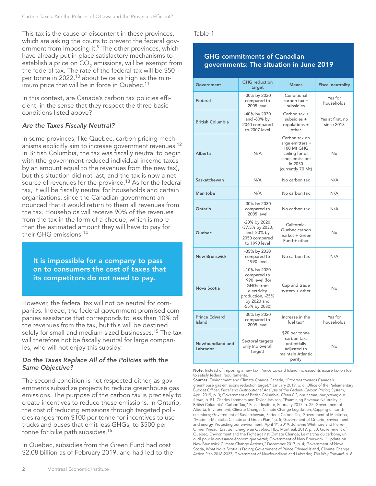This tax is the cause of discontent in these provinces, which are asking the courts to prevent the federal government from imposing it.<sup>9</sup> The other provinces, which have already put in place satisfactory mechanisms to establish a price on  $CO_2$  emissions, will be exempt from the federal tax. The rate of the federal tax will be \$50 per tonne in 2022,<sup>10</sup> about twice as high as the minimum price that will be in force in Quebec.<sup>11</sup>

In this context, are Canada's carbon tax policies efficient, in the sense that they respect the three basic conditions listed above?

#### *Are the Taxes Fiscally Neutral?*

In some provinces, like Quebec, carbon pricing mechanisms explicitly aim to increase government revenues.<sup>12</sup> In British Columbia, the tax was fiscally neutral to begin with (the government reduced individual income taxes by an amount equal to the revenues from the new tax), but this situation did not last, and the tax is now a net source of revenues for the province.<sup>13</sup> As for the federal tax, it will be fiscally neutral for households and certain organizations, since the Canadian government announced that it would return to them all revenues from the tax. Households will receive 90% of the revenues from the tax in the form of a cheque, which is more than the estimated amount they will have to pay for their GHG emissions.<sup>14</sup>

It is impossible for a company to pass on to consumers the cost of taxes that its competitors do not need to pay.

However, the federal tax will not be neutral for companies. Indeed, the federal government promised companies assistance that corresponds to less than 10% of the revenues from the tax, but this will be destined solely for small and medium sized businesses.<sup>15</sup> The tax will therefore not be fiscally neutral for large companies, who will not enjoy this subsidy.

#### *Do the Taxes Replace All of the Policies with the Same Objective?*

The second condition is not respected either, as governments subsidize projects to reduce greenhouse gas emissions. The purpose of the carbon tax is precisely to create incentives to reduce these emissions. In Ontario, the cost of reducing emissions through targeted policies ranges from \$100 per tonne for incentives to use trucks and buses that emit less GHGs, to \$500 per tonne for bike path subsidies.<sup>16</sup>

In Quebec, subsidies from the Green Fund had cost \$2.08 billion as of February 2019, and had led to the Table 1

## GHG commitments of Canadian governments: The situation in June 2019

| Government                     | <b>GHG</b> reduction<br>target                                                                                                 | <b>Means</b>                                                                                                          | <b>Fiscal neutrality</b>       |
|--------------------------------|--------------------------------------------------------------------------------------------------------------------------------|-----------------------------------------------------------------------------------------------------------------------|--------------------------------|
| Federal                        | -30% by 2030<br>compared to<br><b>2005</b> level                                                                               | Conditional<br>carbon tax +<br>subsidies                                                                              | Yes for<br>households          |
| <b>British Columbia</b>        | -40% by 2030<br>and -60% by<br>2040 compared<br>to 2007 level                                                                  | Carbon tax +<br>subsidies +<br>regulations +<br>other                                                                 | Yes at first, no<br>since 2013 |
| Alberta                        | N/A                                                                                                                            | Carbon tax on<br>large emitters +<br>100 Mt GHG<br>ceiling for oil<br>sands emissions<br>in 2030<br>(currently 70 Mt) |                                |
| Saskatchewan                   | N/A<br>No carbon tax                                                                                                           |                                                                                                                       | N/A                            |
| Manitoba                       | N/A                                                                                                                            | No carbon tax                                                                                                         | N/A                            |
| Ontario                        | -30% by 2030<br>compared to<br>2005 level                                                                                      | No carbon tax                                                                                                         | N/A                            |
| Quebec                         | -20% by 2020,<br>-37.5% by 2030,<br>and -80% by<br>2050 compared<br>to 1990 level                                              | California-<br>Quebec carbon<br>market + Green<br>Fund + other                                                        | No                             |
| <b>New Brunswick</b>           | -35% by 2030<br>compared to<br>1990 level                                                                                      | No carbon tax                                                                                                         | N/A                            |
| Nova Scotia                    | -10% by 2020<br>compared to<br>1990 level (for<br>GHGs from<br>electricity<br>production, -25%<br>by 2020 and<br>-55% by 2030) | Cap and trade<br>system + other                                                                                       | No                             |
| <b>Prince Edward</b><br>Island | -30% by 2030<br>compared to<br>2005 level                                                                                      | Increase in the<br>fuel tax*                                                                                          | Yes for<br>households          |
| Newfoundland and<br>Labrador   | Sectoral targets<br>only (no overall<br>target)                                                                                | \$20 per tonne<br>carbon tax,<br>potentially<br>adjusted to<br>maintain Atlantic<br>parity                            | <b>No</b>                      |

Note: Instead of imposing a new tax, Prince Edward Island increased its excise tax on fuel to satisfy federal requirements.

Sources: Environment and Climate Change Canada, "Progress towards Canada's greenhouse gas emissions reduction target," January 2019, p. 6; Office of the Parliamentary Budget Officer, *Fiscal and Distributional Analysis of the Federal Carbon Pricing System*, April 2019, p. 3; Government of British Columbia, *Clean BC, our nature, our power, our future*, p. 51; Charles Lammam and Taylor Jackson, "Examining Revenue Neutrality in British Columbia's Carbon Tax," Fraser Institute, February 2017, p. 25; Government of Alberta, Environment, Climate Change, Climate Change Legislation, Capping oil sands emissions; Government of Saskatchewan, Federal Carbon Tax; Government of Manitoba, "Made-in-Manitoba Climate and Green Plan," p. 5; Government of Ontario, Environment and energy, Protecting our environment, April 1st, 2019; Johanne Whitmore and Pierre-Olivier Pineau, *État de l'Énergie au Québec*, HEC Montréal, 2019, p. 50; Government of Quebec, Environment and the Fight against Climate Change, Le marché du carbone, un outil pour la croissance économique verte!; Government of New Brunswick, "Update on New Brunswick Climate Change Actions," December 2017, p. 4; Government of Nova Scotia, What Nova Scotia Is Doing; Government of Prince Edward Island, Climate Change Action Plan 2018-2023; Government of Newfoundland and Labrador, *The Way Forward*, p. 8.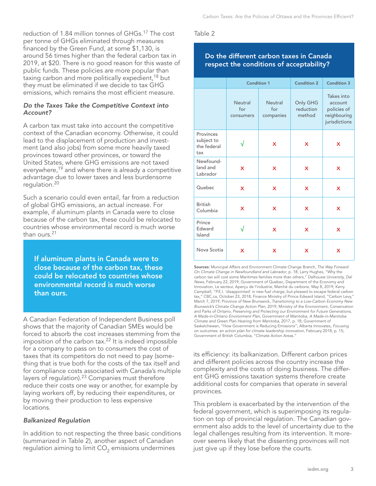reduction of 1.84 million tonnes of GHGs.17 The cost per tonne of GHGs eliminated through measures financed by the Green Fund, at some \$1,130, is around 56 times higher than the federal carbon tax in 2019, at \$20. There is no good reason for this waste of public funds. These policies are more popular than taxing carbon and more politically expedient,<sup>18</sup> but they must be eliminated if we decide to tax GHG emissions, which remains the most efficient measure.

#### *Do the Taxes Take the Competitive Context into Account?*

A carbon tax must take into account the competitive context of the Canadian economy. Otherwise, it could lead to the displacement of production and investment (and also jobs) from some more heavily taxed provinces toward other provinces, or toward the United States, where GHG emissions are not taxed everywhere,<sup>19</sup> and where there is already a competitive advantage due to lower taxes and less burdensome regulation.20

Such a scenario could even entail, far from a reduction of global GHG emissions, an actual increase. For example, if aluminum plants in Canada were to close because of the carbon tax, these could be relocated to countries whose environmental record is much worse than ours.<sup>21</sup>

If aluminum plants in Canada were to close because of the carbon tax, these could be relocated to countries whose environmental record is much worse than ours.

A Canadian Federation of Independent Business poll shows that the majority of Canadian SMEs would be forced to absorb the cost increases stemming from the imposition of the carbon tax.<sup>22</sup> It is indeed impossible for a company to pass on to consumers the cost of taxes that its competitors do not need to pay (something that is true both for the costs of the tax itself and for compliance costs associated with Canada's multiple layers of regulation).<sup>23</sup> Companies must therefore reduce their costs one way or another, for example by laying workers off, by reducing their expenditures, or by moving their production to less expensive locations.

## *Balkanized Regulation*

In addition to not respecting the three basic conditions (summarized in Table 2), another aspect of Canadian regulation aiming to limit  $CO<sub>2</sub>$  emissions undermines

#### Table 2

# Do the different carbon taxes in Canada respect the conditions of acceptability?

|                                               | <b>Condition 1</b>          |                                    | <b>Condition 2</b>              | <b>Condition 3</b>                                                    |
|-----------------------------------------------|-----------------------------|------------------------------------|---------------------------------|-----------------------------------------------------------------------|
|                                               | Neutral<br>for<br>consumers | <b>Neutral</b><br>for<br>companies | Only GHG<br>reduction<br>method | Takes into<br>account<br>policies of<br>neighbouring<br>jurisdictions |
| Provinces<br>subject to<br>the federal<br>tax |                             | X                                  | X                               | X                                                                     |
| Newfound-<br>land and<br>Labrador             | X                           | X                                  | X                               | X                                                                     |
| Quebec                                        | X                           | X                                  | X                               | X                                                                     |
| <b>British</b><br>Columbia                    | X                           | X                                  | X                               | X                                                                     |
| Prince<br>Edward<br>Island                    |                             | X                                  | X                               | X                                                                     |
| Nova Scotia                                   | X                           | X                                  | X                               | X                                                                     |

Sources: Municipal Affairs and Environment Climate Change Branch, *The Way Forward On Climate Change in Newfoundland and Labrador*, p. 18; Larry Hughes, "Why the carbon tax will cost some Maritimes families more than others," Dalhousie University, *Dal News*, February 22, 2019; Government of Quebec, Department of the Economy and Innovation, Le secteur, Aperçu de l'industrie, Marché du carbone, May 8, 2019; Kerry Campbell, "P.E.I. 'disappointed' in new fuel charge, but pleased to escape federal carbon tax," CBC.ca, October 23, 2018; Finance Ministry of Prince Edward Island, "Carbon Levy," March 7, 2019; Province of New Brunswick, *Transitioning to a Low-Carbon Economy New Brunswick's Climate Change Action Plan*, 2019; Ministry of the Environment, Conservation and Parks of Ontario, *Preserving and Protecting our Environment for Future Generations, A Made-in-Ontario Environment Plan*; Government of Manitoba, *A Made-in-Manitoba Climate and Green Plan Hearing from Manitoba*, 2017, p. 18; Government of Saskatchewan, "How Government is Reducing Emissions"; Alberta Innovates, *Focusing on outcomes: an action plan for climate leadership innovation*, February 2018, p. 15; Government of British Columbia, "Climate Action Areas."

its efficiency: its balkanization. Different carbon prices and different policies across the country increase the complexity and the costs of doing business. The different GHG emissions taxation systems therefore create additional costs for companies that operate in several provinces.

This problem is exacerbated by the intervention of the federal government, which is superimposing its regulation on top of provincial regulation. The Canadian government also adds to the level of uncertainty due to the legal challenges resulting from its intervention. It moreover seems likely that the dissenting provinces will not just give up if they lose before the courts.